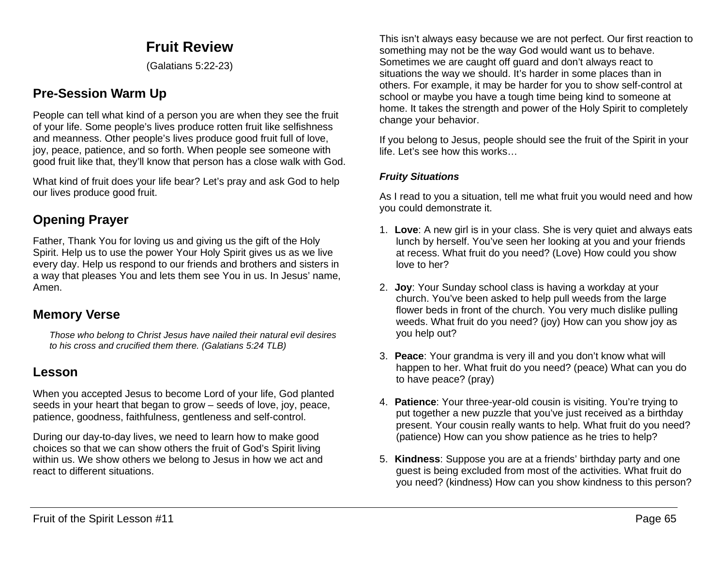## **Fruit Review**

(Galatians 5:22-23)

## **Pre-Session Warm Up**

People can tell what kind of a person you are when they see the fruit of your life. Some people's lives produce rotten fruit like selfishness and meanness. Other people's lives produce good fruit full of love, joy, peace, patience, and so forth. When people see someone with good fruit like that, they'll know that person has a close walk with God.

What kind of fruit does your life bear? Let's pray and ask God to help our lives produce good fruit.

## **Opening Prayer**

Father, Thank You for loving us and giving us the gift of the Holy Spirit. Help us to use the power Your Holy Spirit gives us as we live every day. Help us respond to our friends and brothers and sisters in a way that pleases You and lets them see You in us. In Jesus' name, Amen.

### **Memory Verse**

*Those who belong to Christ Jesus have nailed their natural evil desires to his cross and crucified them there. (Galatians 5:24 TLB)*

### **Lesson**

When you accepted Jesus to become Lord of your life, God planted seeds in your heart that began to grow – seeds of love, joy, peace, patience, goodness, faithfulness, gentleness and self-control.

During our day-to-day lives, we need to learn how to make good choices so that we can show others the fruit of God's Spirit living within us. We show others we belong to Jesus in how we act and react to different situations.

This isn't always easy because we are not perfect. Our first reaction to something may not be the way God would want us to behave. Sometimes we are caught off guard and don't always react to situations the way we should. It's harder in some places than in others. For example, it may be harder for you to show self-control at school or maybe you have a tough time being kind to someone at home. It takes the strength and power of the Holy Spirit to completely change your behavior.

If you belong to Jesus, people should see the fruit of the Spirit in your life. Let's see how this works…

#### *Fruity Situations*

As I read to you a situation, tell me what fruit you would need and how you could demonstrate it.

- 1. **Love**: A new girl is in your class. She is very quiet and always eats lunch by herself. You've seen her looking at you and your friends at recess. What fruit do you need? (Love) How could you show love to her?
- 2. **Joy**: Your Sunday school class is having a workday at your church. You've been asked to help pull weeds from the large flower beds in front of the church. You very much dislike pulling weeds. What fruit do you need? (joy) How can you show joy as you help out?
- 3. **Peace**: Your grandma is very ill and you don't know what will happen to her. What fruit do you need? (peace) What can you do to have peace? (pray)
- 4. **Patience**: Your three-year-old cousin is visiting. You're trying to put together a new puzzle that you've just received as a birthday present. Your cousin really wants to help. What fruit do you need? (patience) How can you show patience as he tries to help?
- 5. **Kindness**: Suppose you are at a friends' birthday party and one guest is being excluded from most of the activities. What fruit do you need? (kindness) How can you show kindness to this person?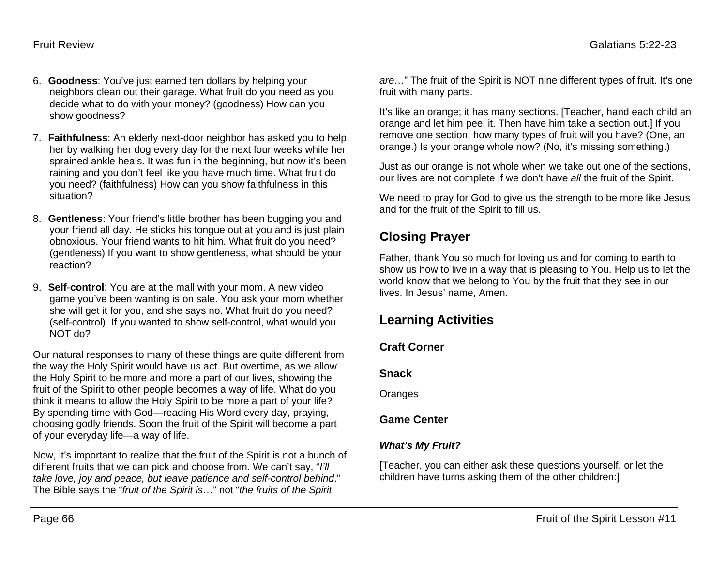- 6. **Goodness**: You've just earned ten dollars by helping your neighbors clean out their garage. What fruit do you need as you decide what to do with your money? (goodness) How can you show goodness?
- 7. **Faithfulness**: An elderly next-door neighbor has asked you to help her by walking her dog every day for the next four weeks while her sprained ankle heals. It was fun in the beginning, but now it's been raining and you don't feel like you have much time. What fruit do you need? (faithfulness) How can you show faithfulness in this situation?
- 8. **Gentleness**: Your friend's little brother has been bugging you and your friend all day. He sticks his tongue out at you and is just plain obnoxious. Your friend wants to hit him. What fruit do you need? (gentleness) If you want to show gentleness, what should be your reaction?
- 9. **Self**-**control**: You are at the mall with your mom. A new video game you've been wanting is on sale. You ask your mom whether she will get it for you, and she says no. What fruit do you need? (self-control) If you wanted to show self-control, what would you NOT do?

Our natural responses to many of these things are quite different from the way the Holy Spirit would have us act. But overtime, as we allow the Holy Spirit to be more and more a part of our lives, showing the fruit of the Spirit to other people becomes a way of life. What do you think it means to allow the Holy Spirit to be more a part of your life? By spending time with God—reading His Word every day, praying, choosing godly friends. Soon the fruit of the Spirit will become a part of your everyday life—a way of life.

Now, it's important to realize that the fruit of the Spirit is not a bunch of different fruits that we can pick and choose from. We can't say, "*I'll take love, joy and peace, but leave patience and self-control behind*." The Bible says the "*fruit of the Spirit is*…" not "*the fruits of the Spirit* 

*are*…" The fruit of the Spirit is NOT nine different types of fruit. It's one fruit with many parts.

It's like an orange; it has many sections. [Teacher, hand each child an orange and let him peel it. Then have him take a section out.] If you remove one section, how many types of fruit will you have? (One, an orange.) Is your orange whole now? (No, it's missing something.)

Just as our orange is not whole when we take out one of the sections, our lives are not complete if we don't have *all* the fruit of the Spirit.

We need to pray for God to give us the strength to be more like Jesus and for the fruit of the Spirit to fill us.

# **Closing Prayer**

Father, thank You so much for loving us and for coming to earth to show us how to live in a way that is pleasing to You. Help us to let the world know that we belong to You by the fruit that they see in our lives. In Jesus' name, Amen.

# **Learning Activities**

#### **Craft Corner**

#### **Snack**

**Oranges** 

#### **Game Center**

#### *What's My Fruit?*

[Teacher, you can either ask these questions yourself, or let the children have turns asking them of the other children:]